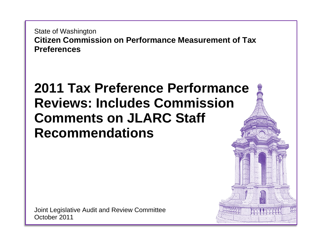State of Washington **Citizen Commission on Performance Measurement of Tax Preferences**

## **2011 Tax Preference Performance Reviews: Includes Commission Comments on JLARC Staff Recommendations**

Joint Legislative Audit and Review Committee October 2011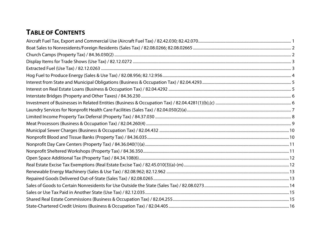## **TABLE OF CONTENTS**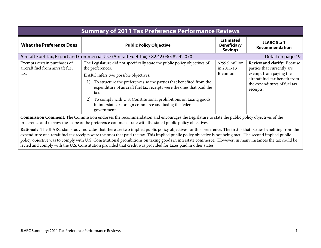<span id="page-2-0"></span>

| <b>Summary of 2011 Tax Preference Performance Reviews</b>                                                                                                                                                                                                     |                                                                                                                                                                                                                                                                                                                                                                                                                                                           |                                                          |                                                                                                                                                                    |
|---------------------------------------------------------------------------------------------------------------------------------------------------------------------------------------------------------------------------------------------------------------|-----------------------------------------------------------------------------------------------------------------------------------------------------------------------------------------------------------------------------------------------------------------------------------------------------------------------------------------------------------------------------------------------------------------------------------------------------------|----------------------------------------------------------|--------------------------------------------------------------------------------------------------------------------------------------------------------------------|
| <b>What the Preference Does</b>                                                                                                                                                                                                                               | <b>Public Policy Objective</b>                                                                                                                                                                                                                                                                                                                                                                                                                            | <b>Estimated</b><br><b>Beneficiary</b><br><b>Savings</b> | <b>JLARC Staff</b><br>Recommendation                                                                                                                               |
|                                                                                                                                                                                                                                                               | Aircraft Fuel Tax, Export and Commercial Use (Aircraft Fuel Tax) / 82.42.030; 82.42.070                                                                                                                                                                                                                                                                                                                                                                   |                                                          | Detail on page 19                                                                                                                                                  |
| Exempts certain purchases of<br>aircraft fuel from aircraft fuel<br>tax.                                                                                                                                                                                      | The Legislature did not specifically state the public policy objectives of<br>the preferences.<br>JLARC infers two possible objectives:<br>To structure the preferences so the parties that benefited from the<br>1)<br>expenditure of aircraft fuel tax receipts were the ones that paid the<br>tax.<br>To comply with U.S. Constitutional prohibitions on taxing goods<br>2)<br>in interstate or foreign commerce and taxing the federal<br>government. | \$299.9 million<br>in 2011-13<br>Biennium                | Review and clarify: Because<br>parties that currently are<br>exempt from paying the<br>aircraft fuel tax benefit from<br>the expenditures of fuel tax<br>receipts. |
| <b>Commission Comment:</b> The Commission endorses the recommendation and encourages the Legislature to state the public policy objectives of the<br>preference and narrow the scope of the preference commensurate with the stated public policy objectives. |                                                                                                                                                                                                                                                                                                                                                                                                                                                           |                                                          |                                                                                                                                                                    |

**Rationale**: The JLARC staff study indicates that there are two implied public policy objectives for this preference. The first is that parties benefiting from the expenditure of aircraft fuel tax receipts were the ones that paid the tax. This implied public policy objective is not being met. The second implied public policy objective was to comply with U.S. Constitutional prohibitions on taxing goods in interstate commerce. However, in many instances the tax could be levied and comply with the U.S. Constitution provided that credit was provided for taxes paid in other states.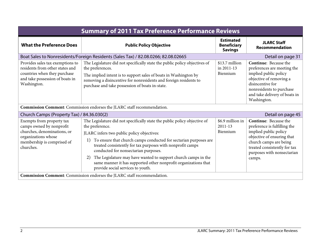<span id="page-3-1"></span><span id="page-3-0"></span>

| <b>Summary of 2011 Tax Preference Performance Reviews</b>                                                                                              |                                                                                                                                                                                                                                                                                                                                                                                                                                                                                                            |                                                          |                                                                                                                                                                                                                       |
|--------------------------------------------------------------------------------------------------------------------------------------------------------|------------------------------------------------------------------------------------------------------------------------------------------------------------------------------------------------------------------------------------------------------------------------------------------------------------------------------------------------------------------------------------------------------------------------------------------------------------------------------------------------------------|----------------------------------------------------------|-----------------------------------------------------------------------------------------------------------------------------------------------------------------------------------------------------------------------|
| <b>What the Preference Does</b>                                                                                                                        | <b>Public Policy Objective</b>                                                                                                                                                                                                                                                                                                                                                                                                                                                                             | <b>Estimated</b><br><b>Beneficiary</b><br><b>Savings</b> | <b>JLARC Staff</b><br>Recommendation                                                                                                                                                                                  |
|                                                                                                                                                        | Boat Sales to Nonresidents/Foreign Residents (Sales Tax) / 82.08.0266; 82.08.02665                                                                                                                                                                                                                                                                                                                                                                                                                         |                                                          | Detail on page 31                                                                                                                                                                                                     |
| Provides sales tax exemptions to<br>residents from other states and<br>countries when they purchase<br>and take possession of boats in<br>Washington.  | The Legislature did not specifically state the public policy objectives of<br>the preferences.<br>The implied intent is to support sales of boats in Washington by<br>removing a disincentive for nonresidents and foreign residents to<br>purchase and take possession of boats in-state.                                                                                                                                                                                                                 | \$13.7 million<br>in 2011-13<br>Biennium                 | <b>Continue:</b> Because the<br>preferences are meeting the<br>implied public policy<br>objective of removing a<br>disincentive for<br>nonresidents to purchase<br>and take delivery of boats in<br>Washington.       |
|                                                                                                                                                        | Commission Comment: Commission endorses the JLARC staff recommendation.                                                                                                                                                                                                                                                                                                                                                                                                                                    |                                                          |                                                                                                                                                                                                                       |
| Church Camps (Property Tax) / 84.36.030(2)                                                                                                             |                                                                                                                                                                                                                                                                                                                                                                                                                                                                                                            |                                                          | Detail on page 45                                                                                                                                                                                                     |
| Exempts from property tax<br>camps owned by nonprofit<br>churches, denominations, or<br>organizations whose<br>membership is comprised of<br>churches. | The Legislature did not specifically state the public policy objective of<br>the preference.<br>JLARC infers two public policy objectives:<br>To ensure that church camps conducted for sectarian purposes are<br>1)<br>treated consistently for tax purposes with nonprofit camps<br>conducted for nonsectarian purposes.<br>The Legislature may have wanted to support church camps in the<br>2)<br>same manner it has supported other nonprofit organizations that<br>provide social services to youth. | \$6.9 million in<br>$2011 - 13$<br>Biennium              | <b>Continue:</b> Because the<br>preference is fulfilling the<br>implied public policy<br>objective of ensuring that<br>church camps are being<br>treated consistently for tax<br>purposes with nonsectarian<br>camps. |
|                                                                                                                                                        | Commission Comment: Commission endorses the JLARC staff recommendation.                                                                                                                                                                                                                                                                                                                                                                                                                                    |                                                          |                                                                                                                                                                                                                       |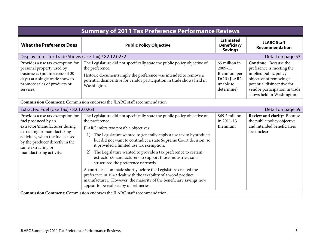<span id="page-4-1"></span><span id="page-4-0"></span>

| <b>Summary of 2011 Tax Preference Performance Reviews</b>                                                                                                                                                                                        |                                                                                                                                                                                                                                                                                                                                                                                                                                                                                                                                                                                                                                                                                                                                                                        |                                                                                    |                                                                                                                                                                                                           |
|--------------------------------------------------------------------------------------------------------------------------------------------------------------------------------------------------------------------------------------------------|------------------------------------------------------------------------------------------------------------------------------------------------------------------------------------------------------------------------------------------------------------------------------------------------------------------------------------------------------------------------------------------------------------------------------------------------------------------------------------------------------------------------------------------------------------------------------------------------------------------------------------------------------------------------------------------------------------------------------------------------------------------------|------------------------------------------------------------------------------------|-----------------------------------------------------------------------------------------------------------------------------------------------------------------------------------------------------------|
| <b>What the Preference Does</b>                                                                                                                                                                                                                  | <b>Public Policy Objective</b>                                                                                                                                                                                                                                                                                                                                                                                                                                                                                                                                                                                                                                                                                                                                         | <b>Estimated</b><br><b>Beneficiary</b><br><b>Savings</b>                           | <b>JLARC Staff</b><br>Recommendation                                                                                                                                                                      |
| Display Items for Trade Shows (Use Tax) / 82.12.0272                                                                                                                                                                                             |                                                                                                                                                                                                                                                                                                                                                                                                                                                                                                                                                                                                                                                                                                                                                                        |                                                                                    | Detail on page 53                                                                                                                                                                                         |
| Provides a use tax exemption for<br>personal property used by<br>businesses (not in excess of 30<br>days) at a single trade show to<br>promote sales of products or<br>services.                                                                 | The Legislature did not specifically state the public policy objective of<br>the preference.<br>Historic documents imply the preference was intended to remove a<br>potential disincentive for vendor participation in trade shows held in<br>Washington.                                                                                                                                                                                                                                                                                                                                                                                                                                                                                                              | \$5 million in<br>2009-11<br>Biennium per<br>DOR (JLARC<br>unable to<br>determine) | <b>Continue:</b> Because the<br>preference is meeting the<br>implied public policy<br>objective of removing a<br>potential disincentive for<br>vendor participation in trade<br>shows held in Washington. |
|                                                                                                                                                                                                                                                  | Commission Comment: Commission endorses the JLARC staff recommendation.                                                                                                                                                                                                                                                                                                                                                                                                                                                                                                                                                                                                                                                                                                |                                                                                    |                                                                                                                                                                                                           |
| Extracted Fuel (Use Tax) / 82.12.0263                                                                                                                                                                                                            |                                                                                                                                                                                                                                                                                                                                                                                                                                                                                                                                                                                                                                                                                                                                                                        |                                                                                    | Detail on page 59                                                                                                                                                                                         |
| Provides a use tax exemption for<br>fuel produced by an<br>extractor/manufacturer during<br>extracting or manufacturing<br>activities, when the fuel is used<br>by the producer directly in the<br>same extracting or<br>manufacturing activity. | The Legislature did not specifically state the public policy objective of<br>the preference.<br>JLARC infers two possible objectives:<br>The Legislature wanted to generally apply a use tax to byproducts<br>1)<br>but did not want to contradict a state Supreme Court decision, so<br>it provided a limited use tax exemption.<br>The Legislature wanted to provide a tax preference to certain<br>2)<br>extractors/manufacturers to support those industries, so it<br>structured the preference narrowly.<br>A court decision made shortly before the Legislature created the<br>preference in 1949 dealt with the taxability of a wood product<br>manufacturer. However, the majority of the beneficiary savings now<br>appear to be realized by oil refineries. | \$69.2 million<br>in 2011-13<br>Biennium                                           | Review and clarify: Because<br>the public policy objective<br>and intended beneficiaries<br>are unclear.                                                                                                  |
|                                                                                                                                                                                                                                                  | Commission Comment: Commission endorses the JLARC staff recommendation.                                                                                                                                                                                                                                                                                                                                                                                                                                                                                                                                                                                                                                                                                                |                                                                                    |                                                                                                                                                                                                           |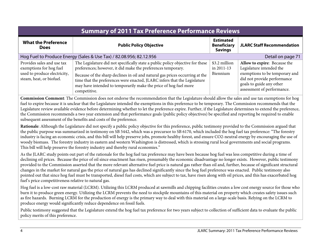<span id="page-5-0"></span>

| <b>Summary of 2011 Tax Preference Performance Reviews</b>                                                                                                                                                                                                                                                                                                                                                                                                                                                                                                                                                                                                                                                                                                                                                                                                                                                                                                                                                                               |                                                                                                                                                                                                                                                                                                                                                                                                            |                                                          |                                                                                                                                                                                     |
|-----------------------------------------------------------------------------------------------------------------------------------------------------------------------------------------------------------------------------------------------------------------------------------------------------------------------------------------------------------------------------------------------------------------------------------------------------------------------------------------------------------------------------------------------------------------------------------------------------------------------------------------------------------------------------------------------------------------------------------------------------------------------------------------------------------------------------------------------------------------------------------------------------------------------------------------------------------------------------------------------------------------------------------------|------------------------------------------------------------------------------------------------------------------------------------------------------------------------------------------------------------------------------------------------------------------------------------------------------------------------------------------------------------------------------------------------------------|----------------------------------------------------------|-------------------------------------------------------------------------------------------------------------------------------------------------------------------------------------|
| <b>What the Preference</b><br><b>Does</b>                                                                                                                                                                                                                                                                                                                                                                                                                                                                                                                                                                                                                                                                                                                                                                                                                                                                                                                                                                                               | <b>Public Policy Objective</b>                                                                                                                                                                                                                                                                                                                                                                             | <b>Estimated</b><br><b>Beneficiary</b><br><b>Savings</b> | <b>JLARC Staff Recommendation</b>                                                                                                                                                   |
|                                                                                                                                                                                                                                                                                                                                                                                                                                                                                                                                                                                                                                                                                                                                                                                                                                                                                                                                                                                                                                         | Hog Fuel to Produce Energy (Sales & Use Tax) / 82.08.956; 82.12.956                                                                                                                                                                                                                                                                                                                                        |                                                          | Detail on page 71                                                                                                                                                                   |
| Provides sales and use tax<br>exemptions for hog fuel<br>used to produce electricity,<br>steam, heat, or biofuel.                                                                                                                                                                                                                                                                                                                                                                                                                                                                                                                                                                                                                                                                                                                                                                                                                                                                                                                       | The Legislature did not specifically state a public policy objective for these<br>preferences; however, it did make the preferences temporary.<br>Because of the sharp declines in oil and natural gas prices occurring at the<br>time that the preferences were enacted, JLARC infers that the Legislature<br>may have intended to temporarily make the price of hog fuel more<br>competitive.            | \$3.2 million<br>in 2011-13<br>Biennium                  | Allow to expire: Because the<br>Legislature intended the<br>exemptions to be temporary and<br>did not provide performance<br>goals to guide any other<br>assessment of performance. |
| Commission Comment: The Commission does not endorse the recommendation that the Legislature should allow the sales and use tax exemptions for hog<br>fuel to expire because it is unclear that the Legislature intended the exemptions in this preference to be temporary. The Commission recommends that the<br>Legislature review available evidence before determining whether to let the preference expire. Further, if the Legislature determines to extend the preference,<br>the Commission recommends a two year extension and that performance goals (public policy objectives) be specified and reporting be required to enable<br>subsequent assessment of the benefits and costs of the preference.<br>Rationale: Although the Legislature did not specify a public policy objective for this preference, public testimony provided to the Commission argued that<br>the public purpose was summarized in testimony on SB 5442, which was a precursor to SB 6170, which included the hog fuel tax preference: "The forestry |                                                                                                                                                                                                                                                                                                                                                                                                            |                                                          |                                                                                                                                                                                     |
|                                                                                                                                                                                                                                                                                                                                                                                                                                                                                                                                                                                                                                                                                                                                                                                                                                                                                                                                                                                                                                         | industry is facing an economic crisis, and this bill will help preserve jobs, promote healthy forest, and ensure CO2-neutral energy by encouraging the use of<br>woody biomass. The forestry industry in eastern and western Washington is distressed, which is stressing rural local governments and social programs.<br>This bill will help preserve the forestry industry and thereby rural economies." |                                                          |                                                                                                                                                                                     |
| As the JLARC study points out part of the rationale for the hog fuel tax preference may have been because hog fuel was less competitive during a time of<br>declining oil prices. Because the price of oil since enactment has risen, presumably the economic disadvantage no longer exists. However, public testimony<br>provided to the Commission asserted that the more relevant alternative fuel price is natural gas rather than oil and, further, because of significant structural<br>changes in the market for natural gas the price of natural gas has declined significantly since the hog fuel preference was enacted. Public testimony also<br>pointed out that since hog fuel must be transported, diesel fuel costs, which are subject to tax, have risen along with oil prices, and this has exacerbated hog<br>fuel's price competitiveness relative to natural gas.                                                                                                                                                   |                                                                                                                                                                                                                                                                                                                                                                                                            |                                                          |                                                                                                                                                                                     |
| Hog fuel is a low-cost raw material (LCRM). Utilizing this LCRM produced at sawmills and chipping facilities creates a low cost energy source for those who<br>burn it to produce green energy. Utilizing the LCRM prevents the need to stockpile mountains of this material on property which creates safety issues such<br>as fire hazards. Burning LCRM for the production of energy is the primary way to deal with this material on a large-scale basis. Relying on the LCRM to<br>produce energy would significantly reduce dependence on fossil fuels.                                                                                                                                                                                                                                                                                                                                                                                                                                                                           |                                                                                                                                                                                                                                                                                                                                                                                                            |                                                          |                                                                                                                                                                                     |
| policy merits of this preference.                                                                                                                                                                                                                                                                                                                                                                                                                                                                                                                                                                                                                                                                                                                                                                                                                                                                                                                                                                                                       | Public testimony suggested that the Legislature extend the hog fuel tax preference for two years subject to collection of sufficient data to evaluate the public                                                                                                                                                                                                                                           |                                                          |                                                                                                                                                                                     |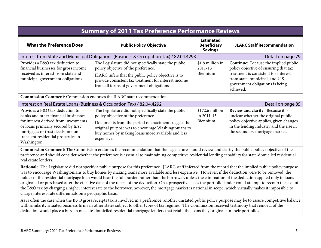<span id="page-6-1"></span><span id="page-6-0"></span>

| <b>Summary of 2011 Tax Preference Performance Reviews</b>                                                                                                                                                                                                                                                                                                                                                                                                                                                                                                                                                                                                                                                     |                                                                                                                                                                                                                                                                              |                                                          |                                                                                                                                                                                                          |  |
|---------------------------------------------------------------------------------------------------------------------------------------------------------------------------------------------------------------------------------------------------------------------------------------------------------------------------------------------------------------------------------------------------------------------------------------------------------------------------------------------------------------------------------------------------------------------------------------------------------------------------------------------------------------------------------------------------------------|------------------------------------------------------------------------------------------------------------------------------------------------------------------------------------------------------------------------------------------------------------------------------|----------------------------------------------------------|----------------------------------------------------------------------------------------------------------------------------------------------------------------------------------------------------------|--|
| <b>What the Preference Does</b>                                                                                                                                                                                                                                                                                                                                                                                                                                                                                                                                                                                                                                                                               | <b>Public Policy Objective</b>                                                                                                                                                                                                                                               | <b>Estimated</b><br><b>Beneficiary</b><br><b>Savings</b> | <b>JLARC Staff Recommendation</b>                                                                                                                                                                        |  |
| Interest from State and Municipal Obligations (Business & Occupation Tax) / 82.04.4293                                                                                                                                                                                                                                                                                                                                                                                                                                                                                                                                                                                                                        |                                                                                                                                                                                                                                                                              | Detail on page 79                                        |                                                                                                                                                                                                          |  |
| Provides a B&O tax deduction to<br>financial businesses for gross income<br>received as interest from state and<br>municipal government obligations.                                                                                                                                                                                                                                                                                                                                                                                                                                                                                                                                                          | The Legislature did not specifically state the public<br>policy objective of the preference.<br>JLARC infers that the public policy objective is to<br>provide consistent tax treatment for interest income<br>from all forms of government obligations.                     | \$1.8 million in<br>$2011 - 13$<br>Biennium              | Continue: Because the implied public<br>policy objective of ensuring that tax<br>treatment is consistent for interest<br>from state, municipal, and U.S.<br>government obligations is being<br>achieved. |  |
|                                                                                                                                                                                                                                                                                                                                                                                                                                                                                                                                                                                                                                                                                                               | Commission Comment: Commission endorses the JLARC staff recommendation.                                                                                                                                                                                                      |                                                          |                                                                                                                                                                                                          |  |
| Interest on Real Estate Loans (Business & Occupation Tax) / 82.04.4292                                                                                                                                                                                                                                                                                                                                                                                                                                                                                                                                                                                                                                        |                                                                                                                                                                                                                                                                              |                                                          | Detail on page 85                                                                                                                                                                                        |  |
| Provides a B&O tax deduction to<br>banks and other financial businesses<br>for interest derived from investments<br>or loans primarily secured by first<br>mortgages or trust deeds on non-<br>transient residential properties in<br>Washington.                                                                                                                                                                                                                                                                                                                                                                                                                                                             | The Legislature did not specifically state the public<br>policy objective of the preference.<br>Documents from the period of enactment suggest the<br>original purpose was to encourage Washingtonians to<br>buy homes by making loans more available and less<br>expensive. | \$172.6 million<br>in 2011-13<br>Biennium                | Review and clarify: Because it is<br>unclear whether the original public<br>policy objective applies, given changes<br>in the lending industry and the rise in<br>the secondary mortgage market.         |  |
| Commission Comment: The Commission endorses the recommendation that the Legislature should review and clarify the public policy objective of the<br>preference and should consider whether the preference is essential to maintaining competitive residential lending capability for state-domiciled residential<br>real estate lenders.<br>Rationale: The Legislature did not specify a public purpose for this preference. JLARC staff inferred from the record that the implied public policy purpose                                                                                                                                                                                                      |                                                                                                                                                                                                                                                                              |                                                          |                                                                                                                                                                                                          |  |
| was to encourage Washingtonians to buy homes by making loans more available and less expensive. However, if the deduction were to be removed, the<br>holder of the residential mortgage loan would bear the full burden rather than the borrower, unless the elimination of the deduction applied only to loans<br>originated or purchased after the effective date of the repeal of the deduction. On a prospective basis the portfolio lender could attempt to recoup the cost of<br>the B&O tax by charging a higher interest rate to the borrower; however, the mortgage market is national in scope, which virtually makes it impossible to<br>charge interest-rate differentials on a geographic basis. |                                                                                                                                                                                                                                                                              |                                                          |                                                                                                                                                                                                          |  |

As is often the case when the B&O gross receipts tax is involved in a preference, another unstated public policy purpose may be to assure competitive balance with similarity situated business firms in other states subject to other types of tax regimes. The Commission received testimony that removal of the deduction would place a burden on state-domiciled residential mortgage lenders that retain the loans they originate in their portfolios.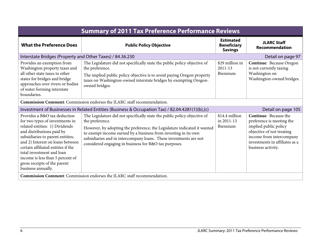<span id="page-7-1"></span><span id="page-7-0"></span>

| <b>Summary of 2011 Tax Preference Performance Reviews</b>                                                                                                                                                                                                                                                                                                           |                                                                                                                                                                                                                                                                                                                                                                           |                                                          |                                                                                                                                                                                                     |
|---------------------------------------------------------------------------------------------------------------------------------------------------------------------------------------------------------------------------------------------------------------------------------------------------------------------------------------------------------------------|---------------------------------------------------------------------------------------------------------------------------------------------------------------------------------------------------------------------------------------------------------------------------------------------------------------------------------------------------------------------------|----------------------------------------------------------|-----------------------------------------------------------------------------------------------------------------------------------------------------------------------------------------------------|
| <b>What the Preference Does</b>                                                                                                                                                                                                                                                                                                                                     | <b>Public Policy Objective</b>                                                                                                                                                                                                                                                                                                                                            | <b>Estimated</b><br><b>Beneficiary</b><br><b>Savings</b> | <b>JLARC Staff</b><br>Recommendation                                                                                                                                                                |
| Interstate Bridges (Property and Other Taxes) / 84.36.230                                                                                                                                                                                                                                                                                                           |                                                                                                                                                                                                                                                                                                                                                                           |                                                          | Detail on page 97                                                                                                                                                                                   |
| Provides an exemption from<br>Washington property taxes and<br>all other state taxes to other<br>states for bridges and bridge<br>approaches over rivers or bodies<br>of water forming interstate<br>boundaries.                                                                                                                                                    | The Legislature did not specifically state the public policy objective of<br>the preference.<br>The implied public policy objective is to avoid paying Oregon property<br>taxes on Washington-owned interstate bridges by exempting Oregon-<br>owned bridges.                                                                                                             | \$29 million in<br>$2011 - 13$<br>Biennium               | Continue: Because Oregon<br>is not currently taxing<br>Washington on<br>Washington-owned bridges.                                                                                                   |
|                                                                                                                                                                                                                                                                                                                                                                     | Commission Comment: Commission endorses the JLARC staff recommendation.                                                                                                                                                                                                                                                                                                   |                                                          |                                                                                                                                                                                                     |
|                                                                                                                                                                                                                                                                                                                                                                     | Investment of Businesses in Related Entities (Business & Occupation Tax) / 82.04.4281(1)(b),(c)                                                                                                                                                                                                                                                                           |                                                          | Detail on page 105                                                                                                                                                                                  |
| Provides a B&O tax deduction<br>for two types of investments in<br>related entities: 1) Dividends<br>and distributions paid by<br>subsidiaries to parent entities;<br>and 2) Interest on loans between<br>certain affiliated entities if the<br>total investment and loan<br>income is less than 5 percent of<br>gross receipts of the parent<br>business annually. | The Legislature did not specifically state the public policy objective of<br>the preference.<br>However, by adopting the preference, the Legislature indicated it wanted<br>to exempt income earned by a business from investing in its own<br>subsidiaries and in intercompany loans. These investments are not<br>considered engaging in business for B&O tax purposes. | \$14.4 million<br>in 2011-13<br>Biennium                 | <b>Continue:</b> Because the<br>preference is meeting the<br>implied public policy<br>objective of not treating<br>income from intercompany<br>investments in affiliates as a<br>business activity. |
|                                                                                                                                                                                                                                                                                                                                                                     | Commission Comment: Commission endorses the JLARC staff recommendation.                                                                                                                                                                                                                                                                                                   |                                                          |                                                                                                                                                                                                     |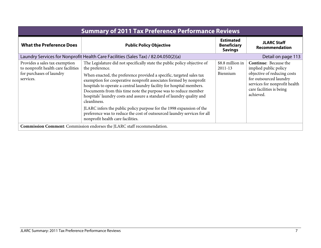<span id="page-8-0"></span>

| <b>Summary of 2011 Tax Preference Performance Reviews</b>                                                      |                                                                                                                                                                                                                                                                                                                                                                                                                                                                                |                                                          |                                                                                                                                                                                          |
|----------------------------------------------------------------------------------------------------------------|--------------------------------------------------------------------------------------------------------------------------------------------------------------------------------------------------------------------------------------------------------------------------------------------------------------------------------------------------------------------------------------------------------------------------------------------------------------------------------|----------------------------------------------------------|------------------------------------------------------------------------------------------------------------------------------------------------------------------------------------------|
| <b>What the Preference Does</b>                                                                                | <b>Public Policy Objective</b>                                                                                                                                                                                                                                                                                                                                                                                                                                                 | <b>Estimated</b><br><b>Beneficiary</b><br><b>Savings</b> | <b>JLARC Staff</b><br>Recommendation                                                                                                                                                     |
|                                                                                                                | Laundry Services for Nonprofit Health Care Facilities (Sales Tax) / 82.04.050(2)(a)                                                                                                                                                                                                                                                                                                                                                                                            |                                                          | Detail on page 113                                                                                                                                                                       |
| Provides a sales tax exemption<br>to nonprofit health care facilities<br>for purchases of laundry<br>services. | The Legislature did not specifically state the public policy objective of<br>the preference.<br>When enacted, the preference provided a specific, targeted sales tax<br>exemption for cooperative nonprofit associates formed by nonprofit<br>hospitals to operate a central laundry facility for hospital members.<br>Documents from this time note the purpose was to reduce member<br>hospitals' laundry costs and assure a standard of laundry quality and<br>cleanliness. | \$8.8 million in<br>$2011 - 13$<br>Biennium              | <b>Continue:</b> Because the<br>implied public policy<br>objective of reducing costs<br>for outsourced laundry<br>services for nonprofit health<br>care facilities is being<br>achieved. |
|                                                                                                                | JLARC infers the public policy purpose for the 1998 expansion of the<br>preference was to reduce the cost of outsourced laundry services for all<br>nonprofit health care facilities.                                                                                                                                                                                                                                                                                          |                                                          |                                                                                                                                                                                          |
| <b>Commission Comment:</b> Commission endorses the JLARC staff recommendation.                                 |                                                                                                                                                                                                                                                                                                                                                                                                                                                                                |                                                          |                                                                                                                                                                                          |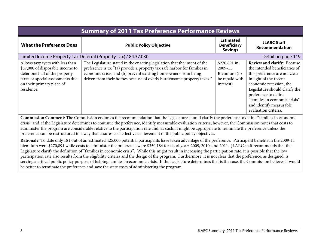<span id="page-9-0"></span>

| <b>Summary of 2011 Tax Preference Performance Reviews</b>                                                                                                                            |                                                                                                                                                                                                                                                                                                    |                                                                        |                                                                                                                                                                                                                                                                                                         |
|--------------------------------------------------------------------------------------------------------------------------------------------------------------------------------------|----------------------------------------------------------------------------------------------------------------------------------------------------------------------------------------------------------------------------------------------------------------------------------------------------|------------------------------------------------------------------------|---------------------------------------------------------------------------------------------------------------------------------------------------------------------------------------------------------------------------------------------------------------------------------------------------------|
| <b>What the Preference Does</b>                                                                                                                                                      | <b>Public Policy Objective</b>                                                                                                                                                                                                                                                                     | <b>Estimated</b><br><b>Beneficiary</b><br><b>Savings</b>               | <b>JLARC Staff</b><br>Recommendation                                                                                                                                                                                                                                                                    |
|                                                                                                                                                                                      | Limited Income Property Tax Deferral (Property Tax) / 84.37.030                                                                                                                                                                                                                                    |                                                                        | Detail on page 119                                                                                                                                                                                                                                                                                      |
| Allows taxpayers with less than<br>\$57,000 of disposable income to<br>defer one half of the property<br>taxes or special assessments due<br>on their primary place of<br>residence. | The Legislature stated in the enacting legislation that the intent of the<br>preference is to: "(a) provide a property tax safe harbor for families in<br>economic crisis; and (b) prevent existing homeowners from being<br>driven from their homes because of overly burdensome property taxes." | \$270,891 in<br>2009-11<br>Biennium (to<br>be repaid with<br>interest) | <b>Review and clarify: Because</b><br>the intended beneficiaries of<br>this preference are not clear<br>in light of the recent<br>economic recession, the<br>Legislature should clarify the<br>preference to define<br>"families in economic crisis"<br>and identify measurable<br>evaluation criteria. |

**Commission Comment**: The Commission endorses the recommendation that the Legislature should clarify the preference to define "families in economic crisis" and, if the Legislature determines to continue the preference, identify measurable evaluation criteria; however, the Commission notes that costs to administer the program are considerable relative to the participation rate and, as such, it might be appropriate to terminate the preference unless the preference can be restructured in a way that assures cost effective achievement of the public policy objectives.

**Rationale**: To date only 181 out of an estimated 425,000 potential participants have taken advantage of the preference. Participant benefits in the 2009-11 biennium were \$270,891 while costs to administer the preference were \$350,184 for fiscal years 2009, 2010, and 2011. JLARC staff recommends that the Legislature clarify the definition of "families in economic crisis". While this might result in increasing the participation rate, it is possible that the low participation rate also results from the eligibility criteria and the design of the program. Furthermore, it is not clear that the preference, as designed, is serving a critical public policy purpose of helping families in economic crisis. If the Legislature determines that is the case, the Commission believes it would be better to terminate the preference and save the state costs of administering the program.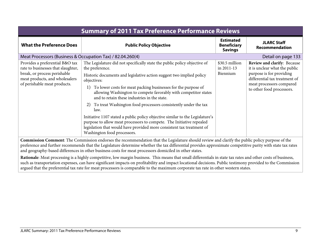<span id="page-10-0"></span>

| <b>Summary of 2011 Tax Preference Performance Reviews</b>                                                                                                               |                                                                                                                                                                                                                                                                                                                                                                                                                                                                                                                                                                                                                                                                                                                                |                                                          |                                                                                                                                                                                           |
|-------------------------------------------------------------------------------------------------------------------------------------------------------------------------|--------------------------------------------------------------------------------------------------------------------------------------------------------------------------------------------------------------------------------------------------------------------------------------------------------------------------------------------------------------------------------------------------------------------------------------------------------------------------------------------------------------------------------------------------------------------------------------------------------------------------------------------------------------------------------------------------------------------------------|----------------------------------------------------------|-------------------------------------------------------------------------------------------------------------------------------------------------------------------------------------------|
| <b>What the Preference Does</b>                                                                                                                                         | <b>Public Policy Objective</b>                                                                                                                                                                                                                                                                                                                                                                                                                                                                                                                                                                                                                                                                                                 | <b>Estimated</b><br><b>Beneficiary</b><br><b>Savings</b> | <b>JLARC Staff</b><br>Recommendation                                                                                                                                                      |
| Meat Processors (Business & Occupation Tax) / 82.04.260(4)                                                                                                              |                                                                                                                                                                                                                                                                                                                                                                                                                                                                                                                                                                                                                                                                                                                                |                                                          | Detail on page 133                                                                                                                                                                        |
| Provides a preferential B&O tax<br>rate to businesses that slaughter,<br>break, or process perishable<br>meat products, and wholesalers<br>of perishable meat products. | The Legislature did not specifically state the public policy objective of<br>the preference.<br>Historic documents and legislative action suggest two implied policy<br>objectives:<br>To lower costs for meat packing businesses for the purpose of<br>1)<br>allowing Washington to compete favorably with competitor states<br>and to retain these industries in the state.<br>To treat Washington food processors consistently under the tax<br>2)<br>law.<br>Initiative 1107 stated a public policy objective similar to the Legislature's<br>purpose to allow meat processors to compete. The Initiative repealed<br>legislation that would have provided more consistent tax treatment of<br>Washington food processors. | \$30.5 million<br>in 2011-13<br>Biennium                 | <b>Review and clarify: Because</b><br>it is unclear what the public<br>purpose is for providing<br>differential tax treatment of<br>meat processors compared<br>to other food processors. |
|                                                                                                                                                                         | Commission Comment: The Commission endorses the recommendation that the Legislature should review and clarify the public policy purpose of the<br>. Conserved Contractions in the district theory of the distribution of the constitution of the second conserved $\mathcal{A}_1$ and $\mathcal{A}_2$ are $\mathcal{A}_3$                                                                                                                                                                                                                                                                                                                                                                                                      |                                                          |                                                                                                                                                                                           |

preference and further recommends that the Legislature determine whether the tax differential provides approximate competitive parity with state tax rates and geography-based differences in other business costs for meat processors domiciled in other states.

**Rationale**: Meat processing is a highly competitive, low margin business. This means that small differentials in state tax rates and other costs of business, such as transportation expenses, can have significant impacts on profitability and impact locational decisions. Public testimony provided to the Commission argued that the preferential tax rate for meat processors is comparable to the maximum corporate tax rate in other western states.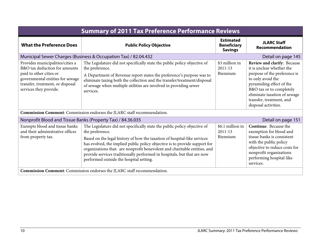<span id="page-11-1"></span><span id="page-11-0"></span>

| <b>Summary of 2011 Tax Preference Performance Reviews</b>                                                                                                                                      |                                                                                                                                                                                                                                                                                                                                                                                                                                                           |                                                          |                                                                                                                                                                                                                                                           |
|------------------------------------------------------------------------------------------------------------------------------------------------------------------------------------------------|-----------------------------------------------------------------------------------------------------------------------------------------------------------------------------------------------------------------------------------------------------------------------------------------------------------------------------------------------------------------------------------------------------------------------------------------------------------|----------------------------------------------------------|-----------------------------------------------------------------------------------------------------------------------------------------------------------------------------------------------------------------------------------------------------------|
| <b>What the Preference Does</b>                                                                                                                                                                | <b>Public Policy Objective</b>                                                                                                                                                                                                                                                                                                                                                                                                                            | <b>Estimated</b><br><b>Beneficiary</b><br><b>Savings</b> | <b>JLARC Staff</b><br><b>Recommendation</b>                                                                                                                                                                                                               |
|                                                                                                                                                                                                | Municipal Sewer Charges (Business & Occupation Tax) / 82.04.432                                                                                                                                                                                                                                                                                                                                                                                           |                                                          | Detail on page 145                                                                                                                                                                                                                                        |
| Provides municipalities/cities a<br>B&O tax deduction for amounts<br>paid to other cities or<br>governmental entities for sewage<br>transfer, treatment, or disposal<br>services they provide. | The Legislature did not specifically state the public policy objective of<br>the preference.<br>A Department of Revenue report states the preference's purpose was to<br>eliminate taxing both the collection and the transfer/treatment/disposal<br>of sewage when multiple utilities are involved in providing sewer<br>services.                                                                                                                       | \$3 million in<br>$2011 - 13$<br>Biennium                | Review and clarify: Because<br>it is unclear whether the<br>purpose of the preference is<br>to only avoid the<br>pyramiding effect of the<br>B&O tax or to completely<br>eliminate taxation of sewage<br>transfer, treatment, and<br>disposal activities. |
|                                                                                                                                                                                                | Commission Comment: Commission endorses the JLARC staff recommendation.                                                                                                                                                                                                                                                                                                                                                                                   |                                                          |                                                                                                                                                                                                                                                           |
| Nonprofit Blood and Tissue Banks (Property Tax) / 84.36.035                                                                                                                                    |                                                                                                                                                                                                                                                                                                                                                                                                                                                           |                                                          | Detail on page 151                                                                                                                                                                                                                                        |
| Exempts blood and tissue banks<br>and their administrative offices<br>from property tax.                                                                                                       | The Legislature did not specifically state the public policy objective of<br>the preference.<br>Based on the legal history of how the taxation of hospital-like services<br>has evolved, the implied public policy objective is to provide support for<br>organizations that: are nonprofit benevolent and charitable entities, and<br>provide services traditionally performed in hospitals, but that are now<br>performed outside the hospital setting. | \$6.1 million in<br>$2011 - 13$<br>Biennium              | <b>Continue:</b> Because the<br>exemption for blood and<br>tissue banks is consistent<br>with the public policy<br>objective to reduce costs for<br>nonprofit organizations<br>performing hospital-like<br>services.                                      |
|                                                                                                                                                                                                | Commission Comment: Commission endorses the JLARC staff recommendation.                                                                                                                                                                                                                                                                                                                                                                                   |                                                          |                                                                                                                                                                                                                                                           |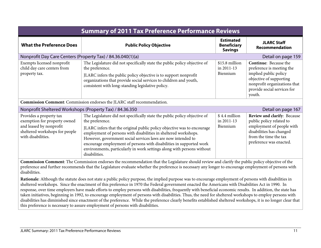<span id="page-12-0"></span>

| <b>Summary of 2011 Tax Preference Performance Reviews</b>                                                                                  |                                                                                                                                                                                                                                                                                                                                                                                                                                                                              |                                                          |                                                                                                                                                                                        |
|--------------------------------------------------------------------------------------------------------------------------------------------|------------------------------------------------------------------------------------------------------------------------------------------------------------------------------------------------------------------------------------------------------------------------------------------------------------------------------------------------------------------------------------------------------------------------------------------------------------------------------|----------------------------------------------------------|----------------------------------------------------------------------------------------------------------------------------------------------------------------------------------------|
| <b>What the Preference Does</b>                                                                                                            | <b>Public Policy Objective</b>                                                                                                                                                                                                                                                                                                                                                                                                                                               | <b>Estimated</b><br><b>Beneficiary</b><br><b>Savings</b> | <b>JLARC Staff</b><br>Recommendation                                                                                                                                                   |
| Nonprofit Day Care Centers (Property Tax) / 84.36.040(1)(a)                                                                                |                                                                                                                                                                                                                                                                                                                                                                                                                                                                              |                                                          | Detail on page 159                                                                                                                                                                     |
| Exempts licensed nonprofit<br>child day care centers from<br>property tax.                                                                 | The Legislature did not specifically state the public policy objective of<br>the preference.<br>JLARC infers the public policy objective is to support nonprofit<br>organizations that provide social services to children and youth,<br>consistent with long-standing legislative policy.                                                                                                                                                                                   | \$15.8 million<br>in 2011-13<br>Biennium                 | <b>Continue:</b> Because the<br>preference is meeting the<br>implied public policy<br>objective of supporting<br>nonprofit organizations that<br>provide social services for<br>youth. |
|                                                                                                                                            | <b>Commission Comment:</b> Commission endorses the JLARC staff recommendation.                                                                                                                                                                                                                                                                                                                                                                                               |                                                          |                                                                                                                                                                                        |
| Nonprofit Sheltered Workshops (Property Tax) / 84.36.350                                                                                   |                                                                                                                                                                                                                                                                                                                                                                                                                                                                              |                                                          | Detail on page 167                                                                                                                                                                     |
| Provides a property tax<br>exemption for property owned<br>and leased by nonprofit<br>sheltered workshops for people<br>with disabilities. | The Legislature did not specifically state the public policy objective of<br>the preference.<br>JLARC infers that the original public policy objective was to encourage<br>employment of persons with disabilities in sheltered workshops.<br>However, government social services laws are now intended to<br>encourage employment of persons with disabilities in supported work<br>environments, particularly in work settings along with persons without<br>disabilities. | \$4.4 million<br>in 2011-13<br>Biennium                  | Review and clarify: Because<br>public policy related to<br>employment of people with<br>disabilities has changed<br>from the time the tax<br>preference was enacted.                   |

<span id="page-12-1"></span>**Commission Comment**: The Commission endorses the recommendation that the Legislature should review and clarify the public policy objective of the preference and further recommends that the Legislature evaluate whether the preference is necessary any longer to encourage employment of persons with disabilities.

**Rationale**: Although the statute does not state a public policy purpose, the implied purpose was to encourage employment of persons with disabilities in sheltered workshops. Since the enactment of this preference in 1970 the Federal government enacted the Americans with Disabilities Act in 1990. In response, over time employers have made efforts to employ persons with disabilities, frequently with beneficial economic results. In addition, the state has taken initiatives, beginning in 1992, to encourage employment of persons with disabilities. Thus, the need for sheltered workshops to employ persons with disabilities has diminished since enactment of the preference. While the preference clearly benefits established sheltered workshops, it is no longer clear that this preference is necessary to assure employment of persons with disabilities.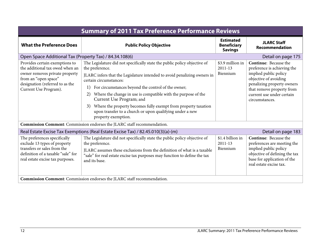<span id="page-13-1"></span><span id="page-13-0"></span>

| <b>Summary of 2011 Tax Preference Performance Reviews</b>                                                                                                                               |                                                                                                                                                                                                                                                                                                                                                                                                                                                                                                                              |                                                          |                                                                                                                                                                                                                         |
|-----------------------------------------------------------------------------------------------------------------------------------------------------------------------------------------|------------------------------------------------------------------------------------------------------------------------------------------------------------------------------------------------------------------------------------------------------------------------------------------------------------------------------------------------------------------------------------------------------------------------------------------------------------------------------------------------------------------------------|----------------------------------------------------------|-------------------------------------------------------------------------------------------------------------------------------------------------------------------------------------------------------------------------|
| <b>What the Preference Does</b>                                                                                                                                                         | <b>Public Policy Objective</b>                                                                                                                                                                                                                                                                                                                                                                                                                                                                                               | <b>Estimated</b><br><b>Beneficiary</b><br><b>Savings</b> | <b>JLARC Staff</b><br>Recommendation                                                                                                                                                                                    |
| Open Space Additional Tax (Property Tax) / 84.34.108(6)                                                                                                                                 |                                                                                                                                                                                                                                                                                                                                                                                                                                                                                                                              |                                                          | Detail on page 175                                                                                                                                                                                                      |
| Provides certain exemptions to<br>the additional tax owed when an<br>owner removes private property<br>from an "open space"<br>designation (referred to as the<br>Current Use Program). | The Legislature did not specifically state the public policy objective of<br>the preference.<br>JLARC infers that the Legislature intended to avoid penalizing owners in<br>certain circumstances:<br>For circumstances beyond the control of the owner;<br>1)<br>Where the change in use is compatible with the purpose of the<br>2)<br>Current Use Program; and<br>Where the property becomes fully exempt from property taxation<br>3)<br>upon transfer to a church or upon qualifying under a new<br>property exemption. | \$3.9 million in<br>$2011 - 13$<br>Biennium              | <b>Continue:</b> Because the<br>preference is achieving the<br>implied public policy<br>objective of avoiding<br>penalizing property owners<br>that remove property from<br>current use under certain<br>circumstances. |
| Commission Comment: Commission endorses the JLARC staff recommendation.                                                                                                                 |                                                                                                                                                                                                                                                                                                                                                                                                                                                                                                                              |                                                          |                                                                                                                                                                                                                         |
| Real Estate Excise Tax Exemptions (Real Estate Excise Tax) / 82.45.010(3)(a)-(m)<br>Detail on page 183                                                                                  |                                                                                                                                                                                                                                                                                                                                                                                                                                                                                                                              |                                                          |                                                                                                                                                                                                                         |
| The preferences specifically<br>exclude 13 types of property<br>transfers or sales from the<br>definition of a taxable "sale" for<br>real estate excise tax purposes.                   | The Legislature did not specifically state the public policy objective of<br>the preference.<br>JLARC assumes these exclusions from the definition of what is a taxable<br>"sale" for real estate excise tax purposes may function to define the tax<br>and its base.                                                                                                                                                                                                                                                        | \$1.4 billion in<br>$2011 - 13$<br>Biennium              | <b>Continue:</b> Because the<br>preferences are meeting the<br>implied public policy<br>objective of defining the tax<br>base for application of the<br>real estate excise tax.                                         |
| Commission Comment: Commission endorses the JLARC staff recommendation.                                                                                                                 |                                                                                                                                                                                                                                                                                                                                                                                                                                                                                                                              |                                                          |                                                                                                                                                                                                                         |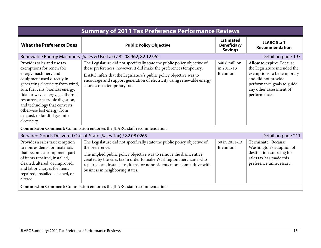<span id="page-14-1"></span><span id="page-14-0"></span>

| <b>Summary of 2011 Tax Preference Performance Reviews</b>                                                                                                                                                                                                                                                                                                                   |                                                                                                                                                                                                                                                                                                                                                           |                                                          |                                                                                                                                                                                        |
|-----------------------------------------------------------------------------------------------------------------------------------------------------------------------------------------------------------------------------------------------------------------------------------------------------------------------------------------------------------------------------|-----------------------------------------------------------------------------------------------------------------------------------------------------------------------------------------------------------------------------------------------------------------------------------------------------------------------------------------------------------|----------------------------------------------------------|----------------------------------------------------------------------------------------------------------------------------------------------------------------------------------------|
| <b>What the Preference Does</b>                                                                                                                                                                                                                                                                                                                                             | <b>Public Policy Objective</b>                                                                                                                                                                                                                                                                                                                            | <b>Estimated</b><br><b>Beneficiary</b><br><b>Savings</b> | <b>JLARC Staff</b><br><b>Recommendation</b>                                                                                                                                            |
|                                                                                                                                                                                                                                                                                                                                                                             | Renewable Energy Machinery (Sales & Use Tax) / 82.08.962; 82.12.962                                                                                                                                                                                                                                                                                       |                                                          | Detail on page 197                                                                                                                                                                     |
| Provides sales and use tax<br>exemptions for renewable<br>energy machinery and<br>equipment used directly in<br>generating electricity from wind,<br>sun, fuel cells, biomass energy,<br>tidal or wave energy, geothermal<br>resources, anaerobic digestion,<br>and technology that converts<br>otherwise lost energy from<br>exhaust, or landfill gas into<br>electricity. | The Legislature did not specifically state the public policy objective of<br>these preferences; however, it did make the preferences temporary.<br>JLARC infers that the Legislature's public policy objective was to<br>encourage and support generation of electricity using renewable energy<br>sources on a temporary basis.                          | \$40.8 million<br>in 2011-13<br>Biennium                 | Allow to expire: Because<br>the Legislature intended the<br>exemptions to be temporary<br>and did not provide<br>performance goals to guide<br>any other assessment of<br>performance. |
|                                                                                                                                                                                                                                                                                                                                                                             | <b>Commission Comment:</b> Commission endorses the JLARC staff recommendation.                                                                                                                                                                                                                                                                            |                                                          |                                                                                                                                                                                        |
|                                                                                                                                                                                                                                                                                                                                                                             | Repaired Goods Delivered Out-of-State (Sales Tax) / 82.08.0265                                                                                                                                                                                                                                                                                            |                                                          | Detail on page 211                                                                                                                                                                     |
| Provides a sales tax exemption<br>to nonresidents for: materials<br>that become a component part<br>of items repaired, installed,<br>cleaned, altered, or improved;<br>and labor charges for items<br>repaired, installed, cleaned, or<br>altered                                                                                                                           | The Legislature did not specifically state the public policy objective of<br>the preference.<br>The implied public policy objective was to remove the disincentive<br>created by the sales tax in order to make Washington merchants who<br>repair, clean, install, etc., items for nonresidents more competitive with<br>business in neighboring states. | \$0 in 2011-13<br>Biennium                               | Terminate: Because<br>Washington's adoption of<br>destination-sourcing for<br>sales tax has made this<br>preference unnecessary.                                                       |
| <b>Commission Comment:</b> Commission endorses the JLARC staff recommendation.                                                                                                                                                                                                                                                                                              |                                                                                                                                                                                                                                                                                                                                                           |                                                          |                                                                                                                                                                                        |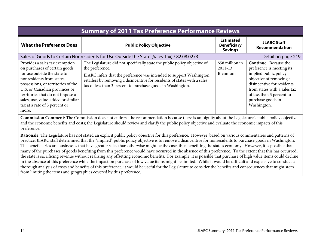<span id="page-15-0"></span>

| <b>Summary of 2011 Tax Preference Performance Reviews</b>                                                                                                                                                                                                                                                               |                                                                                                                                                                                                                                                                                                                 |                                                          |                                                                                                                                                                                                                                              |
|-------------------------------------------------------------------------------------------------------------------------------------------------------------------------------------------------------------------------------------------------------------------------------------------------------------------------|-----------------------------------------------------------------------------------------------------------------------------------------------------------------------------------------------------------------------------------------------------------------------------------------------------------------|----------------------------------------------------------|----------------------------------------------------------------------------------------------------------------------------------------------------------------------------------------------------------------------------------------------|
| <b>What the Preference Does</b>                                                                                                                                                                                                                                                                                         | <b>Public Policy Objective</b>                                                                                                                                                                                                                                                                                  | <b>Estimated</b><br><b>Beneficiary</b><br><b>Savings</b> | <b>JLARC Staff</b><br>Recommendation                                                                                                                                                                                                         |
| Sales of Goods to Certain Nonresidents for Use Outside the State (Sales Tax) / 82.08.0273<br>Detail on page 219                                                                                                                                                                                                         |                                                                                                                                                                                                                                                                                                                 |                                                          |                                                                                                                                                                                                                                              |
| Provides a sales tax exemption<br>on purchases of certain goods<br>for use outside the state to<br>nonresidents from states,<br>possessions, or territories of the<br>U.S. or Canadian provinces or<br>territories that do not impose a<br>sales, use, value-added or similar<br>tax at a rate of 3 percent or<br>more. | The Legislature did not specifically state the public policy objective of<br>the preference.<br>JLARC infers that the preference was intended to support Washington<br>retailers by removing a disincentive for residents of states with a sales<br>tax of less than 3 percent to purchase goods in Washington. | \$58 million in<br>2011-13<br>Biennium                   | <b>Continue:</b> Because the<br>preference is meeting its<br>implied public policy<br>objective of removing a<br>disincentive for residents<br>from states with a sales tax<br>of less than 3 percent to<br>purchase goods in<br>Washington. |

**Commission Comment**: The Commission does not endorse the recommendation because there is ambiguity about the Legislature's public policy objective and the economic benefits and costs; the Legislature should review and clarify the public policy objective and evaluate the economic impacts of this preference.

**Rationale**: The Legislature has not stated an explicit public policy objective for this preference. However, based on various commentaries and patterns of practice, JLARC staff determined that the "implied" public policy objective is to remove a disincentive for nonresidents to purchase goods in Washington. The beneficiaries are businesses that have greater sales than otherwise might be the case, thus benefiting the state's economy. However, it is possible that many of the purchases of goods benefiting from this preference would have occurred in the absence of this preference. To the extent that this has occurred, the state is sacrificing revenue without realizing any offsetting economic benefits. For example, it is possible that purchase of high value items could decline in the absence of this preference while the impact on purchase of low value items might be limited. While it would be difficult and expensive to conduct a thorough analysis of costs and benefits of this preference, it would be useful for the Legislature to consider the benefits and consequences that might stem from limiting the items and geographies covered by this preference.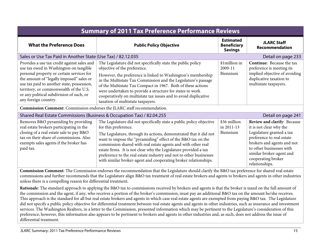<span id="page-16-0"></span>

| <b>Summary of 2011 Tax Preference Performance Reviews</b>                                                                                                                                                                                                                                                                                  |                                                                                                                                                                                                                                                                                                                                                                                                                                                                                                                  |                                                          |                                                                                                                                                                                                                                                |
|--------------------------------------------------------------------------------------------------------------------------------------------------------------------------------------------------------------------------------------------------------------------------------------------------------------------------------------------|------------------------------------------------------------------------------------------------------------------------------------------------------------------------------------------------------------------------------------------------------------------------------------------------------------------------------------------------------------------------------------------------------------------------------------------------------------------------------------------------------------------|----------------------------------------------------------|------------------------------------------------------------------------------------------------------------------------------------------------------------------------------------------------------------------------------------------------|
| <b>What the Preference Does</b>                                                                                                                                                                                                                                                                                                            | <b>Public Policy Objective</b>                                                                                                                                                                                                                                                                                                                                                                                                                                                                                   | <b>Estimated</b><br><b>Beneficiary</b><br><b>Savings</b> | <b>JLARC Staff</b><br>Recommendation                                                                                                                                                                                                           |
| Sales or Use Tax Paid in Another State (Use Tax) / 82.12.035                                                                                                                                                                                                                                                                               |                                                                                                                                                                                                                                                                                                                                                                                                                                                                                                                  |                                                          | Detail on page 233                                                                                                                                                                                                                             |
| Provides a use tax credit against sales and<br>use tax owed in Washington on tangible<br>personal property or certain services for<br>the amount of "legally imposed" sales or<br>use tax paid to another state, possession,<br>territory, or commonwealth of the U.S.<br>or any political subdivision of such, or<br>any foreign country. | The Legislature did not specifically state the public policy<br>objective of the preference.<br>However, the preference is linked to Washington's membership<br>in the Multistate Tax Commission and the Legislature's passage<br>of the Multistate Tax Compact in 1967. Both of these actions<br>were undertaken to provide a structure for states to work<br>cooperatively on multistate tax issues and to avoid duplicative<br>taxation of multistate taxpayers.                                              | \$1million in<br>2009-11<br>Biennium                     | Continue: Because the tax<br>preference is meeting its<br>implied objective of avoiding<br>duplicative taxation to<br>multistate taxpayers.                                                                                                    |
| Commission Comment: Commission endorses the JLARC staff recommendation.                                                                                                                                                                                                                                                                    |                                                                                                                                                                                                                                                                                                                                                                                                                                                                                                                  |                                                          |                                                                                                                                                                                                                                                |
| Shared Real Estate Commissions (Business & Occupation Tax) / 82.04.255<br>Detail on page 241                                                                                                                                                                                                                                               |                                                                                                                                                                                                                                                                                                                                                                                                                                                                                                                  |                                                          |                                                                                                                                                                                                                                                |
| Removes B&O pyramiding by providing<br>real estate brokers participating in the<br>closing of a real estate sale to pay B&O<br>tax on their share of commissions. Also<br>exempts sales agents if the broker has<br>paid tax.                                                                                                              | The Legislature did not specifically state a public policy objective<br>for this preference.<br>The Legislature, through its actions, demonstrated that it did not<br>want to impose the "pyramiding" effect of the B&O tax on the<br>commission shared with real estate agents and with other real<br>estate firms. It is not clear why the Legislature provided a tax<br>preference to the real estate industry and not to other businesses<br>with similar broker-agent and cooperating broker relationships. | \$36 million<br>in 2011-13<br>Biennium                   | Review and clarify: Because<br>it is not clear why the<br>Legislature granted a tax<br>preference to real estate<br>brokers and agents and not<br>to other businesses with<br>similar broker-agent and<br>cooperating broker<br>relationships. |

<span id="page-16-1"></span>**Commission Comment**: The Commission endorses the recommendation that the Legislature should clarify the B&O tax preference for shared real estate commissions and further recommends that the Legislature align B&O tax treatment of real estate brokers and agents to brokers and agents in other industries unless there is a compelling reason for differential treatment.

**Rationale**: The standard approach to applying the B&O tax to commissions received by brokers and agents is that the broker is taxed on the full amount of the commission and the agent, if any, who receives a portion of the broker's commission, must pay an additional B&O tax on the amount he/she receives. This approach is the standard for all but real estate brokers and agents in which case real estate agents are exempted from paying B&O tax. The Legislature did not specify a public policy objective for differential treatment between real estate agents and agents in other industries, such as insurance and investment services. The Washington Realtors, in a letter to the Commission, presented information which may be pertinent to the Legislature's consideration of this preference; however, this information also appears to be pertinent to brokers and agents in other industries and, as such, does not address the issue of differential treatment.